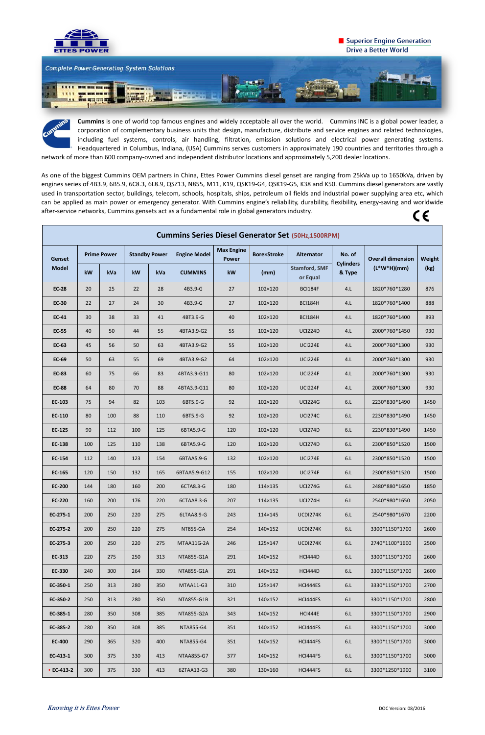

## **E** Superior Engine Generation **Drive a Better World**



As one of the biggest Cummins OEM partners in China, Ettes Power Cummins diesel genset are ranging from 25kVa up to 1650kVa, driven by engines series of 4B3.9, 6B5.9, 6C8.3, 6L8.9, QSZ13, N855, M11, K19, QSK19-G4, QSK19-G5, K38 and K50. Cummins diesel generators are vastly used in transportation sector, buildings, telecom, schools, hospitals, ships, petroleum oil fields and industrial power supplying area etc, which can be applied as main power or emergency generator. With Cummins engine's reliability, durability, flexibility, energy-saving and worldwide after-service networks, Cummins gensets act as a fundamental role in global generators industry.  $\epsilon$ 

**Cummins** is one of world top famous engines and widely acceptable all over the world. Cummins INC is a global power leader, a corporation of complementary business units that design, manufacture, distribute and service engines and related technologies, including fuel systems, controls, air handling, filtration, emission solutions and electrical power generating systems. Headquartered in Columbus, Indiana, (USA) Cummins serves customers in approximately 190 countries and territories through a network of more than 600 company-owned and independent distributor locations and approximately 5,200 dealer locations.

| <b>Cummins Series Diesel Generator Set (50Hz,1500RPM)</b> |                    |            |                      |     |                     |                                   |                    |                                  |                            |                          |        |
|-----------------------------------------------------------|--------------------|------------|----------------------|-----|---------------------|-----------------------------------|--------------------|----------------------------------|----------------------------|--------------------------|--------|
| <b>Genset</b><br><b>Model</b>                             | <b>Prime Power</b> |            | <b>Standby Power</b> |     | <b>Engine Model</b> | <b>Max Engine</b><br><b>Power</b> | <b>Bore×Stroke</b> | <b>Alternator</b>                | No. of                     | <b>Overall dimension</b> | Weight |
|                                                           | kW                 | kVa        | kW                   | kVa | <b>CUMMINS</b>      | kW                                | (mm)               | <b>Stamford, SMF</b><br>or Equal | <b>Cylinders</b><br>& Type | $(L*W*H)(mm)$            | (kg)   |
| <b>EC-28</b>                                              | 20                 | 25         | 22                   | 28  | 4B3.9-G             | 27                                | 102×120            | <b>BCI184F</b>                   | 4.L                        | 1820*760*1280            | 876    |
| <b>EC-30</b>                                              | 22                 | 27         | 24                   | 30  | 4B3.9-G             | 27                                | 102×120            | <b>BCI184H</b>                   | 4.L                        | 1820*760*1400            | 888    |
| <b>EC-41</b>                                              | 30                 | 38         | 33                   | 41  | 4BT3.9-G            | 40                                | 102×120            | <b>BCI184H</b>                   | 4.L                        | 1820*760*1400            | 893    |
| <b>EC-55</b>                                              | 40                 | 50         | 44                   | 55  | 4BTA3.9-G2          | 55                                | 102×120            | <b>UCI224D</b>                   | 4.L                        | 2000*760*1450            | 930    |
| <b>EC-63</b>                                              | 45                 | 56         | 50                   | 63  | 4BTA3.9-G2          | 55                                | 102×120            | <b>UCI224E</b>                   | 4.L                        | 2000*760*1300            | 930    |
| <b>EC-69</b>                                              | 50                 | 63         | 55                   | 69  | 4BTA3.9-G2          | 64                                | 102×120            | <b>UCI224E</b>                   | 4.L                        | 2000*760*1300            | 930    |
| <b>EC-83</b>                                              | 60                 | 75         | 66                   | 83  | 4BTA3.9-G11         | 80                                | 102×120            | UCI224F                          | 4.L                        | 2000*760*1300            | 930    |
| <b>EC-88</b>                                              | 64                 | 80         | 70                   | 88  | 4BTA3.9-G11         | 80                                | 102×120            | <b>UCI224F</b>                   | 4.L                        | 2000*760*1300            | 930    |
| EC-103                                                    | 75                 | 94         | 82                   | 103 | 6BT5.9-G            | 92                                | 102×120            | <b>UCI224G</b>                   | 6.L                        | 2230*830*1490            | 1450   |
| EC-110                                                    | 80                 | 100        | 88                   | 110 | 6BT5.9-G            | 92                                | 102×120            | <b>UCI274C</b>                   | 6.L                        | 2230*830*1490            | 1450   |
| EC-125                                                    | 90                 | 112        | 100                  | 125 | 6BTA5.9-G           | 120                               | 102×120            | <b>UCI274D</b>                   | 6.L                        | 2230*830*1490            | 1450   |
| EC-138                                                    | 100                | 125        | 110                  | 138 | 6BTA5.9-G           | 120                               | 102×120            | <b>UCI274D</b>                   | 6.L                        | 2300*850*1520            | 1500   |
| <b>EC-154</b>                                             | 112                | 140        | 123                  | 154 | 6BTAA5.9-G          | 132                               | 102×120            | <b>UCI274E</b>                   | 6.L                        | 2300*850*1520            | 1500   |
| EC-165                                                    | 120                | 150        | 132                  | 165 | 6BTAA5.9-G12        | 155                               | 102×120            | <b>UCI274F</b>                   | 6.L                        | 2300*850*1520            | 1500   |
| <b>EC-200</b>                                             | 144                | 180        | 160                  | 200 | 6CTA8.3-G           | 180                               | 114×135            | <b>UCI274G</b>                   | 6.L                        | 2480*880*1650            | 1850   |
| <b>EC-220</b>                                             | 160                | <b>200</b> | 176                  | 220 | 6CTAA8.3-G          | 207                               | 114×135            | <b>UCI274H</b>                   | 6.L                        | 2540*980*1650            | 2050   |
| EC-275-1                                                  | 200                | 250        | 220                  | 275 | 6LTAA8.9-G          | 243                               | 114×145            | UCDI274K                         | 6.L                        | 2540*980*1670            | 2200   |
| EC-275-2                                                  | 200                | 250        | 220                  | 275 | NT855-GA            | 254                               | 140×152            | UCDI274K                         | 6.L                        | 3300*1150*1700           | 2600   |
| EC-275-3                                                  | 200                | 250        | 220                  | 275 | MTAA11G-2A          | 246                               | 125×147            | UCDI274K                         | 6.L                        | 2740*1100*1600           | 2500   |
| EC-313                                                    | 220                | 275        | 250                  | 313 | NTA855-G1A          | 291                               | 140×152            | <b>HCI444D</b>                   | 6.L                        | 3300*1150*1700           | 2600   |
| EC-330                                                    | 240                | 300        | 264                  | 330 | NTA855-G1A          | 291                               | 140×152            | <b>HCI444D</b>                   | 6.L                        | 3300*1150*1700           | 2600   |
| EC-350-1                                                  | 250                | 313        | 280                  | 350 | MTAA11-G3           | 310                               | 125×147            | HCI444ES                         | 6.L                        | 3330*1150*1700           | 2700   |
| EC-350-2                                                  | 250                | 313        | 280                  | 350 | NTA855-G1B          | 321                               | 140×152            | HCI444ES                         | 6.L                        | 3300*1150*1700           | 2800   |
| EC-385-1                                                  | 280                | 350        | 308                  | 385 | NTA855-G2A          | 343                               | 140×152            | <b>HCI444E</b>                   | 6.L                        | 3300*1150*1700           | 2900   |
| EC-385-2                                                  | 280                | 350        | 308                  | 385 | NTA855-G4           | 351                               | 140×152            | HCI444FS                         | 6.L                        | 3300*1150*1700           | 3000   |
| <b>EC-400</b>                                             | 290                | 365        | 320                  | 400 | NTA855-G4           | 351                               | 140×152            | HCI444FS                         | 6.L                        | 3300*1150*1700           | 3000   |
| EC-413-1                                                  | 300                | 375        | 330                  | 413 | NTAA855-G7          | 377                               | 140×152            | HCI444FS                         | 6.L                        | 3300*1150*1700           | 3000   |
| • $EC-413-2$                                              | 300                | 375        | 330                  | 413 | 6ZTAA13-G3          | 380                               | 130×160            | HCI444FS                         | 6.L                        | 3300*1250*1900           | 3100   |